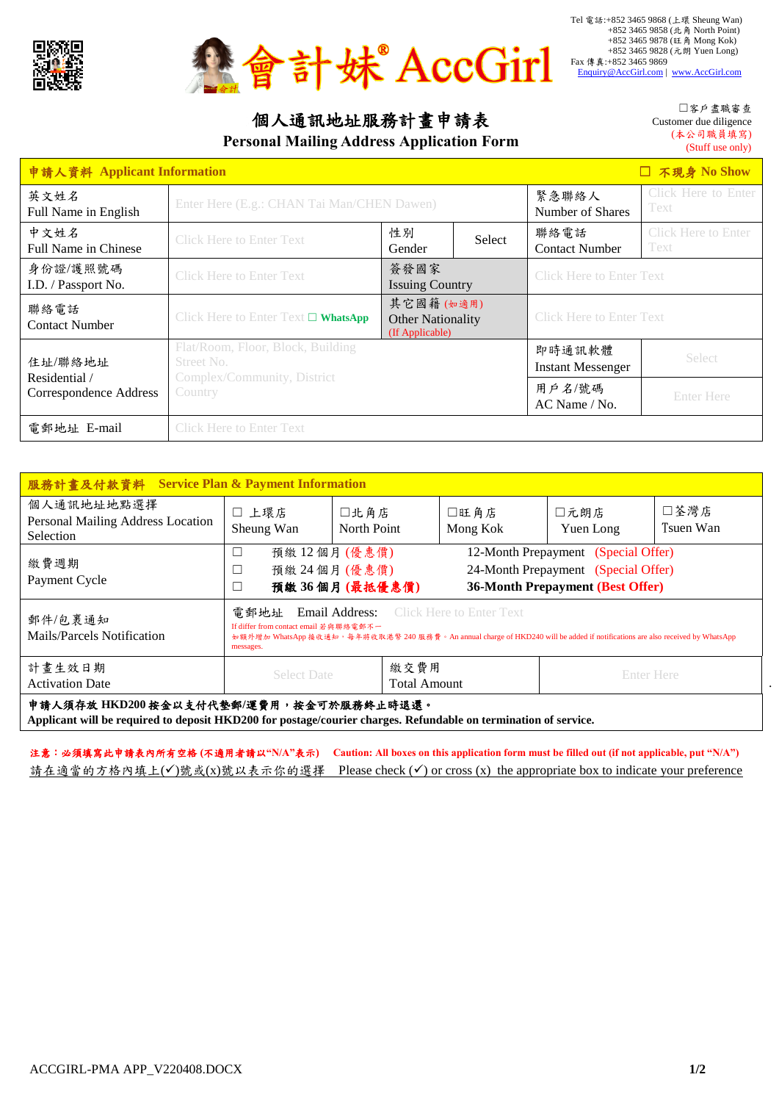



## 個人通訊地址服務計畫申請表

**Personal Mailing Address Application Form**

☐客戶盡職審查 Customer due diligence (本公司職員填寫) (Stuff use only)

| □ 不現身 No Show<br>申請人資料 Applicant Information |                                                                                |                                                          |                             |                                    |                                    |  |  |
|----------------------------------------------|--------------------------------------------------------------------------------|----------------------------------------------------------|-----------------------------|------------------------------------|------------------------------------|--|--|
| 英文姓名<br>Full Name in English                 | Enter Here (E.g.: CHAN Tai Man/CHEN Dawen)                                     | 緊急聯絡人<br>Number of Shares                                | Click Here to Enter<br>Text |                                    |                                    |  |  |
| 中文姓名<br><b>Full Name in Chinese</b>          | <b>Click Here to Enter Text</b>                                                | 性別<br>Select<br>Gender                                   |                             | 聯絡電話<br><b>Contact Number</b>      | <b>Click Here to Enter</b><br>Text |  |  |
| 身份證/護照號碼<br>I.D. / Passport No.              | <b>Click Here to Enter Text</b>                                                | 簽發國家<br><b>Issuing Country</b>                           |                             | <b>Click Here to Enter Text</b>    |                                    |  |  |
| 聯絡電話<br>Contact Number                       | Click Here to Enter Text $\square$ WhatsApp                                    | 其它國籍(如適用)<br><b>Other Nationality</b><br>(If Applicable) |                             | <b>Click Here to Enter Text</b>    |                                    |  |  |
| 住址/聯絡地址<br>Residential /                     | Flat/Room, Floor, Block, Building<br>Street No.<br>Complex/Community, District |                                                          |                             | 即時通訊軟體<br><b>Instant Messenger</b> | <b>Select</b>                      |  |  |
| Correspondence Address                       | Country                                                                        |                                                          |                             | 用戶名/號碼<br>AC Name / No.            | <b>Enter Here</b>                  |  |  |
| 電郵地址 E-mail                                  | <b>Click Here to Enter Text</b>                                                |                                                          |                             |                                    |                                    |  |  |

| 服務計畫及付款資料 Service Plan & Payment Information                                                                                                                                                                                                                                            |                                                 |                             |                  |                                                                                                                       |                   |  |  |
|-----------------------------------------------------------------------------------------------------------------------------------------------------------------------------------------------------------------------------------------------------------------------------------------|-------------------------------------------------|-----------------------------|------------------|-----------------------------------------------------------------------------------------------------------------------|-------------------|--|--|
| 個人通訊地址地點選擇<br>Personal Mailing Address Location<br>Selection                                                                                                                                                                                                                            | □ 上環店<br>Sheung Wan                             | 口北角店<br>North Point         | □旺角店<br>Mong Kok | □元朗店<br>Yuen Long                                                                                                     | □荃灣店<br>Tsuen Wan |  |  |
| 繳費週期<br>Payment Cycle                                                                                                                                                                                                                                                                   | 預繳12個月(優惠價)<br>預繳 24 個月 (優惠價)<br>預繳 36個月(最抵優惠價) |                             |                  | 12-Month Prepayment (Special Offer)<br>24-Month Prepayment (Special Offer)<br><b>36-Month Prepayment (Best Offer)</b> |                   |  |  |
| Email Address:<br>電郵地址<br><b>Click Here to Enter Text</b><br>郵件/包裹通知<br>If differ from contact email 若與聯絡電郵不一<br>Mails/Parcels Notification<br>如額外增加 WhatsApp 接收通知,每年將收取港幣 240 服務費。An annual charge of HKD240 will be added if notifications are also received by WhatsApp<br>messages. |                                                 |                             |                  |                                                                                                                       |                   |  |  |
| 計畫生效日期<br><b>Activation Date</b>                                                                                                                                                                                                                                                        | <b>Select Date</b>                              | 繳交費用<br><b>Total Amount</b> |                  | <b>Enter Here</b>                                                                                                     |                   |  |  |
| 申請人須存放 HKD200 按金以支付代墊郵/運費用, 按金可於服務終止時退還。                                                                                                                                                                                                                                                |                                                 |                             |                  |                                                                                                                       |                   |  |  |

**Applicant will be required to deposit HKD200 for postage/courier charges. Refundable on termination of service.**

注意:必須填寫此申請表內所有空格 **(**不適用者請以**"N/A"**表示**) Caution: All boxes on this application form must be filled out (if not applicable, put "N/A")** 請在適當的方格內填上(√)號或(x)號以表示你的選擇 Please check (√) or cross (x) the appropriate box to indicate your preference .